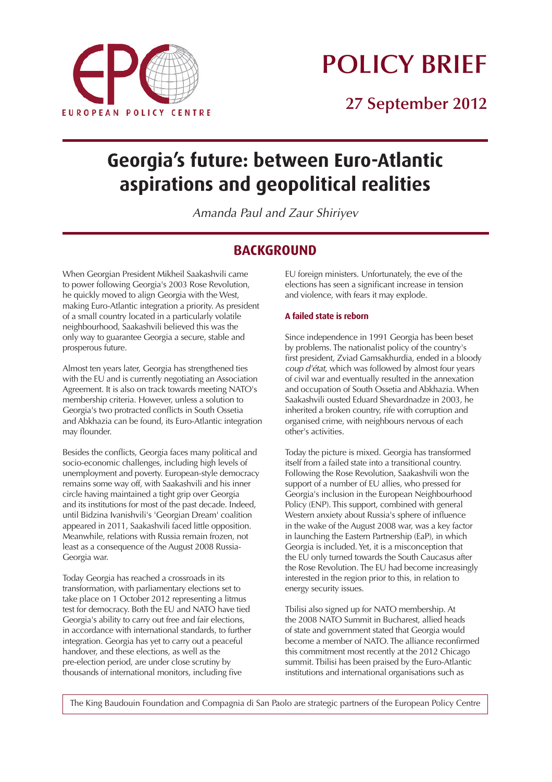

# **POLICY BRIEF**

**27 September 2012**

## **Georgia's future: between Euro-Atlantic aspirations and geopolitical realities**

*Amanda Paul and Zaur Shiriyev*

## **BACKGROUND**

*When Georgian President Mikheil Saakashvili came to power following Georgia's 2003 Rose Revolution, he quickly moved to align Georgia with the West, making Euro-Atlantic integration a priority. As president of a small country located in a particularly volatile neighbourhood, Saakashvili believed this was the only way to guarantee Georgia a secure, stable and prosperous future.*

*Almost ten years later, Georgia has strengthened ties with the EU and is currently negotiating an Association Agreement. It is also on track towards meeting NATO's membership criteria. However, unless a solution to Georgia's two protracted conflicts in South Ossetia and Abkhazia can be found, its Euro-Atlantic integration may flounder.*

*Besides the conflicts, Georgia faces many political and socio-economic challenges, including high levels of unemployment and poverty. European-style democracy remains some way off, with Saakashvili and his inner circle having maintained a tight grip over Georgia and its institutions for most of the past decade. Indeed, until Bidzina Ivanishvili's 'Georgian Dream' coalition appeared in 2011, Saakashvili faced little opposition. Meanwhile, relations with Russia remain frozen, not least as a consequence of the August 2008 Russia-Georgia war.*

*Today Georgia has reached a crossroads in its transformation, with parliamentary elections set to take place on 1 October 2012 representing a litmus test for democracy. Both the EU and NATO have tied Georgia's ability to carry out free and fair elections, in accordance with international standards, to further integration. Georgia has yet to carry out a peaceful handover, and these elections, as well as the pre-election period, are under close scrutiny by thousands of international monitors, including five* 

*EU foreign ministers. Unfortunately, the eve of the elections has seen a significant increase in tension and violence, with fears it may explode.* 

#### **A failed state is reborn**

*Since independence in 1991 Georgia has been beset by problems. The nationalist policy of the country's first president, Zviad Gamsakhurdia, ended in a bloody coup d'état, which was followed by almost four years of civil war and eventually resulted in the annexation and occupation of South Ossetia and Abkhazia. When Saakashvili ousted Eduard Shevardnadze in 2003, he inherited a broken country, rife with corruption and organised crime, with neighbours nervous of each other's activities.*

*Today the picture is mixed. Georgia has transformed itself from a failed state into a transitional country. Following the Rose Revolution, Saakashvili won the support of a number of EU allies, who pressed for Georgia's inclusion in the European Neighbourhood Policy (ENP). This support, combined with general Western anxiety about Russia's sphere of influence in the wake of the August 2008 war, was a key factor in launching the Eastern Partnership (EaP), in which Georgia is included. Yet, it is a misconception that the EU only turned towards the South Caucasus after the Rose Revolution. The EU had become increasingly interested in the region prior to this, in relation to energy security issues.* 

*Tbilisi also signed up for NATO membership. At the 2008 NATO Summit in Bucharest, allied heads of state and government stated that Georgia would become a member of NATO. The alliance reconfirmed this commitment most recently at the 2012 Chicago summit. Tbilisi has been praised by the Euro-Atlantic institutions and international organisations such as* 

*The King Baudouin Foundation and Compagnia di San Paolo are strategic partners of the European Policy Centre*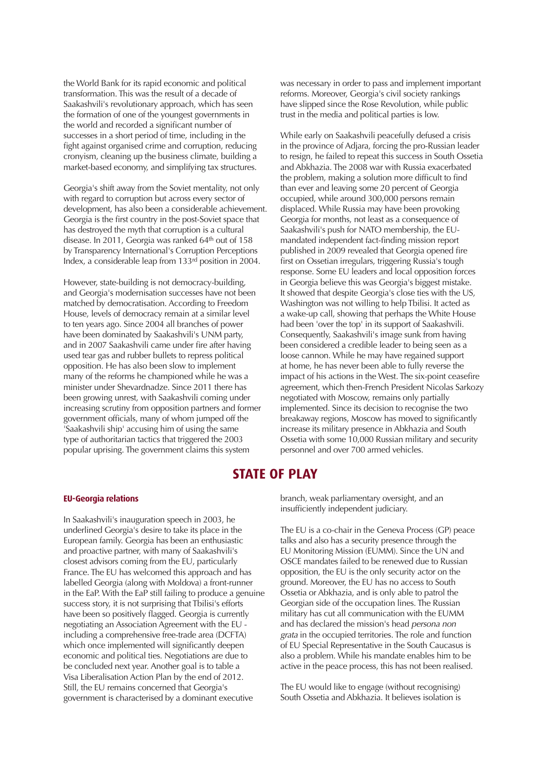the World Bank for its rapid economic and political transformation. This was the result of a decade of Saakashvili's revolutionary approach, which has seen the formation of one of the youngest governments in the world and recorded a significant number of successes in a short period of time, including in the fight against organised crime and corruption, reducing cronyism, cleaning up the business climate, building a market-based economy, and simplifying tax structures.

Georgia's shift away from the Soviet mentality, not only with regard to corruption but across every sector of development, has also been a considerable achievement. Georgia is the first country in the post-Soviet space that has destroyed the myth that corruption is a cultural disease. In 2011, Georgia was ranked 64th out of 158 by Transparency International's Corruption Perceptions Index, a considerable leap from 133rd position in 2004.

However, state-building is not democracy-building, and Georgia's modernisation successes have not been matched by democratisation. According to Freedom House, levels of democracy remain at a similar level to ten years ago. Since 2004 all branches of power have been dominated by Saakashvili's UNM party, and in 2007 Saakashvili came under fire after having used tear gas and rubber bullets to repress political opposition. He has also been slow to implement many of the reforms he championed while he was a minister under Shevardnadze. Since 2011 there has been growing unrest, with Saakashvili coming under increasing scrutiny from opposition partners and former government officials, many of whom jumped off the 'Saakashvili ship' accusing him of using the same type of authoritarian tactics that triggered the 2003 popular uprising. The government claims this system

was necessary in order to pass and implement important reforms. Moreover, Georgia's civil society rankings have slipped since the Rose Revolution, while public trust in the media and political parties is low.

While early on Saakashvili peacefully defused a crisis in the province of Adjara, forcing the pro-Russian leader to resign, he failed to repeat this success in South Ossetia and Abkhazia. The 2008 war with Russia exacerbated the problem, making a solution more difficult to find than ever and leaving some 20 percent of Georgia occupied, while around 300,000 persons remain displaced. While Russia may have been provoking Georgia for months, not least as a consequence of Saakashvili's push for NATO membership, the EUmandated independent fact-finding mission report published in 2009 revealed that Georgia opened fire first on Ossetian irregulars, triggering Russia's tough response. Some EU leaders and local opposition forces in Georgia believe this was Georgia's biggest mistake. It showed that despite Georgia's close ties with the US, Washington was not willing to help Tbilisi. It acted as a wake-up call, showing that perhaps the White House had been 'over the top' in its support of Saakashvili. Consequently, Saakashvili's image sunk from having been considered a credible leader to being seen as a loose cannon. While he may have regained support at home, he has never been able to fully reverse the impact of his actions in the West. The six-point ceasefire agreement, which then-French President Nicolas Sarkozy negotiated with Moscow, remains only partially implemented. Since its decision to recognise the two breakaway regions, Moscow has moved to significantly increase its military presence in Abkhazia and South Ossetia with some 10,000 Russian military and security personnel and over 700 armed vehicles.

## **STATE OF PLAY**

#### **EU-Georgia relations**

In Saakashvili's inauguration speech in 2003, he underlined Georgia's desire to take its place in the European family. Georgia has been an enthusiastic and proactive partner, with many of Saakashvili's closest advisors coming from the EU, particularly France. The EU has welcomed this approach and has labelled Georgia (along with Moldova) a front-runner in the EaP. With the EaP still failing to produce a genuine success story, it is not surprising that Tbilisi's efforts have been so positively flagged. Georgia is currently negotiating an Association Agreement with the EU including a comprehensive free-trade area (DCFTA) which once implemented will significantly deepen economic and political ties. Negotiations are due to be concluded next year. Another goal is to table a Visa Liberalisation Action Plan by the end of 2012. Still, the EU remains concerned that Georgia's government is characterised by a dominant executive

branch, weak parliamentary oversight, and an insufficiently independent judiciary.

The EU is a co-chair in the Geneva Process (GP) peace talks and also has a security presence through the EU Monitoring Mission (EUMM). Since the UN and OSCE mandates failed to be renewed due to Russian opposition, the EU is the only security actor on the ground. Moreover, the EU has no access to South Ossetia or Abkhazia, and is only able to patrol the Georgian side of the occupation lines. The Russian military has cut all communication with the EUMM and has declared the mission's head persona non grata in the occupied territories. The role and function of EU Special Representative in the South Caucasus is also a problem. While his mandate enables him to be active in the peace process, this has not been realised.

The EU would like to engage (without recognising) South Ossetia and Abkhazia. It believes isolation is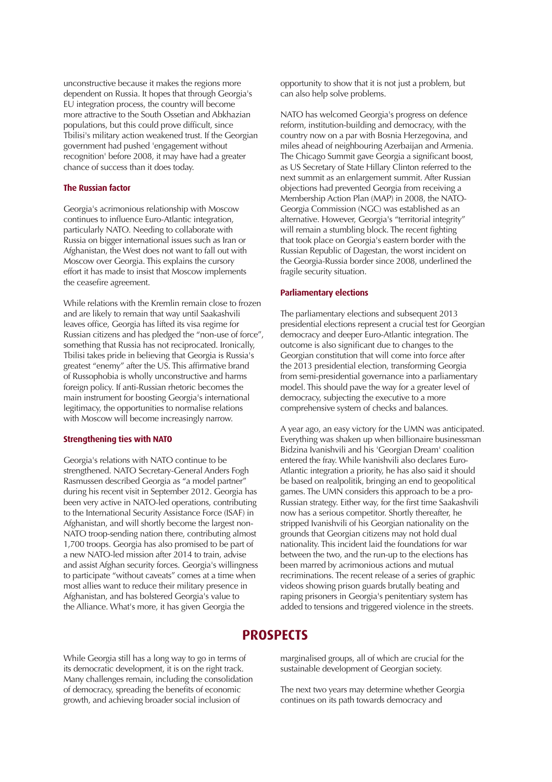unconstructive because it makes the regions more dependent on Russia. It hopes that through Georgia's EU integration process, the country will become more attractive to the South Ossetian and Abkhazian populations, but this could prove difficult, since Tbilisi's military action weakened trust. If the Georgian government had pushed 'engagement without recognition' before 2008, it may have had a greater chance of success than it does today.

#### **The Russian factor**

Georgia's acrimonious relationship with Moscow continues to influence Euro-Atlantic integration, particularly NATO. Needing to collaborate with Russia on bigger international issues such as Iran or Afghanistan, the West does not want to fall out with Moscow over Georgia. This explains the cursory effort it has made to insist that Moscow implements the ceasefire agreement.

While relations with the Kremlin remain close to frozen and are likely to remain that way until Saakashvili leaves office, Georgia has lifted its visa regime for Russian citizens and has pledged the "non-use of force", something that Russia has not reciprocated. Ironically, Tbilisi takes pride in believing that Georgia is Russia's greatest "enemy" after the US. This affirmative brand of Russophobia is wholly unconstructive and harms foreign policy. If anti-Russian rhetoric becomes the main instrument for boosting Georgia's international legitimacy, the opportunities to normalise relations with Moscow will become increasingly narrow.

#### **Strengthening ties with NATO**

Georgia's relations with NATO continue to be strengthened. NATO Secretary-General Anders Fogh Rasmussen described Georgia as "a model partner" during his recent visit in September 2012. Georgia has been very active in NATO-led operations, contributing to the International Security Assistance Force (ISAF) in Afghanistan, and will shortly become the largest non-NATO troop-sending nation there, contributing almost 1,700 troops. Georgia has also promised to be part of a new NATO-led mission after 2014 to train, advise and assist Afghan security forces. Georgia's willingness to participate "without caveats" comes at a time when most allies want to reduce their military presence in Afghanistan, and has bolstered Georgia's value to the Alliance. What's more, it has given Georgia the

opportunity to show that it is not just a problem, but can also help solve problems.

NATO has welcomed Georgia's progress on defence reform, institution-building and democracy, with the country now on a par with Bosnia Herzegovina, and miles ahead of neighbouring Azerbaijan and Armenia. The Chicago Summit gave Georgia a significant boost, as US Secretary of State Hillary Clinton referred to the next summit as an enlargement summit. After Russian objections had prevented Georgia from receiving a Membership Action Plan (MAP) in 2008, the NATO-Georgia Commission (NGC) was established as an alternative. However, Georgia's "territorial integrity" will remain a stumbling block. The recent fighting that took place on Georgia's eastern border with the Russian Republic of Dagestan, the worst incident on the Georgia-Russia border since 2008, underlined the fragile security situation.

#### **Parliamentary elections**

The parliamentary elections and subsequent 2013 presidential elections represent a crucial test for Georgian democracy and deeper Euro-Atlantic integration. The outcome is also significant due to changes to the Georgian constitution that will come into force after the 2013 presidential election, transforming Georgia from semi-presidential governance into a parliamentary model. This should pave the way for a greater level of democracy, subjecting the executive to a more comprehensive system of checks and balances.

A year ago, an easy victory for the UMN was anticipated. Everything was shaken up when billionaire businessman Bidzina Ivanishvili and his 'Georgian Dream' coalition entered the fray. While Ivanishvili also declares Euro-Atlantic integration a priority, he has also said it should be based on realpolitik, bringing an end to geopolitical games. The UMN considers this approach to be a pro-Russian strategy. Either way, for the first time Saakashvili now has a serious competitor. Shortly thereafter, he stripped Ivanishvili of his Georgian nationality on the grounds that Georgian citizens may not hold dual nationality. This incident laid the foundations for war between the two, and the run-up to the elections has been marred by acrimonious actions and mutual recriminations. The recent release of a series of graphic videos showing prison guards brutally beating and raping prisoners in Georgia's penitentiary system has added to tensions and triggered violence in the streets.

## **PROSPECTS**

While Georgia still has a long way to go in terms of its democratic development, it is on the right track. Many challenges remain, including the consolidation of democracy, spreading the benefits of economic growth, and achieving broader social inclusion of

marginalised groups, all of which are crucial for the sustainable development of Georgian society.

The next two years may determine whether Georgia continues on its path towards democracy and